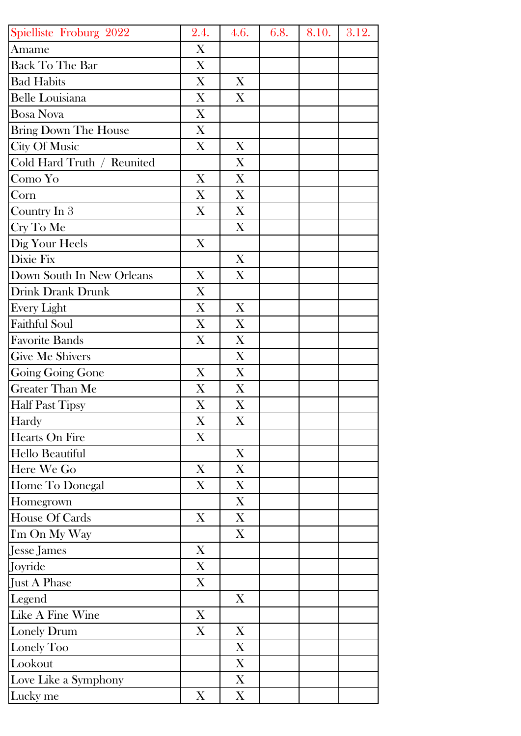| Spielliste Froburg 2022    | 2.4. | 4.6.             | 6.8. | 8.10. | 3.12. |
|----------------------------|------|------------------|------|-------|-------|
| Amame                      | X    |                  |      |       |       |
| <b>Back To The Bar</b>     | X    |                  |      |       |       |
| <b>Bad Habits</b>          | X    | $\mathbf{X}$     |      |       |       |
| <b>Belle Louisiana</b>     | X    | X                |      |       |       |
| <b>Bosa Nova</b>           | X    |                  |      |       |       |
| Bring Down The House       | X    |                  |      |       |       |
| <b>City Of Music</b>       | X    | X                |      |       |       |
| Cold Hard Truth / Reunited |      | X                |      |       |       |
| Como Yo                    | X    | X                |      |       |       |
| Corn                       | X    | X                |      |       |       |
| Country In 3               | X    | X                |      |       |       |
| Cry To Me                  |      | X                |      |       |       |
| Dig Your Heels             | X    |                  |      |       |       |
| Dixie Fix                  |      | X                |      |       |       |
| Down South In New Orleans  | X    | X                |      |       |       |
| Drink Drank Drunk          | X    |                  |      |       |       |
| <b>Every Light</b>         | X    | X                |      |       |       |
| <b>Faithful Soul</b>       | X    | X                |      |       |       |
| <b>Favorite Bands</b>      | X    | X                |      |       |       |
| <b>Give Me Shivers</b>     |      | X                |      |       |       |
| Going Going Gone           | X    | X                |      |       |       |
| Greater Than Me            | X    | X                |      |       |       |
| <b>Half Past Tipsy</b>     | X    | X                |      |       |       |
| Hardy                      | X    | X                |      |       |       |
| Hearts On Fire             | X    |                  |      |       |       |
| Hello Beautiful            |      | $\boldsymbol{X}$ |      |       |       |
| Here We Go                 | X    | X                |      |       |       |
| Home To Donegal            | X    | X                |      |       |       |
| Homegrown                  |      | X                |      |       |       |
| House Of Cards             | X    | X                |      |       |       |
| I'm On My Way              |      | X                |      |       |       |
| Jesse James                | X    |                  |      |       |       |
| Joyride                    | X    |                  |      |       |       |
| Just A Phase               | X    |                  |      |       |       |
| Legend                     |      | X                |      |       |       |
| Like A Fine Wine           | X    |                  |      |       |       |
| Lonely Drum                | X    | X                |      |       |       |
| Lonely Too                 |      | X                |      |       |       |
| Lookout                    |      | X                |      |       |       |
| Love Like a Symphony       |      | $\boldsymbol{X}$ |      |       |       |
| Lucky me                   | X    | X                |      |       |       |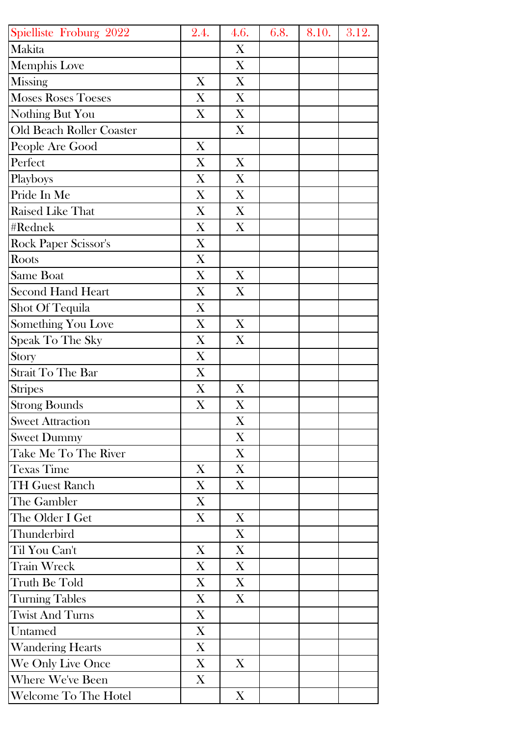| Spielliste Froburg 2022   | 2.4.                      | 4.6. | 6.8. | 8.10. | 3.12. |
|---------------------------|---------------------------|------|------|-------|-------|
| Makita                    |                           | X    |      |       |       |
| <b>Memphis Love</b>       |                           | X    |      |       |       |
| <b>Missing</b>            | X                         | X    |      |       |       |
| <b>Moses Roses Toeses</b> | X                         | X    |      |       |       |
| Nothing But You           | X                         | X    |      |       |       |
| Old Beach Roller Coaster  |                           | X    |      |       |       |
| People Are Good           | X                         |      |      |       |       |
| Perfect                   | X                         | X    |      |       |       |
| Playboys                  | X                         | X    |      |       |       |
| Pride In Me               | X                         | X    |      |       |       |
| Raised Like That          | X                         | X    |      |       |       |
| #Rednek                   | X                         | X    |      |       |       |
| Rock Paper Scissor's      | $\boldsymbol{\mathrm{X}}$ |      |      |       |       |
| Roots                     | X                         |      |      |       |       |
| <b>Same Boat</b>          | X                         | X    |      |       |       |
| <b>Second Hand Heart</b>  | X                         | X    |      |       |       |
| Shot Of Tequila           | X                         |      |      |       |       |
| Something You Love        | X                         | X    |      |       |       |
| Speak To The Sky          | X                         | X    |      |       |       |
| Story                     | X                         |      |      |       |       |
| Strait To The Bar         | X                         |      |      |       |       |
| <b>Stripes</b>            | X                         | X    |      |       |       |
| <b>Strong Bounds</b>      | X                         | X    |      |       |       |
| <b>Sweet Attraction</b>   |                           | X    |      |       |       |
| <b>Sweet Dummy</b>        |                           | X    |      |       |       |
| Take Me To The River      |                           | X    |      |       |       |
| <b>Texas Time</b>         | X                         | X    |      |       |       |
| <b>TH Guest Ranch</b>     | X                         | X    |      |       |       |
| The Gambler               | X                         |      |      |       |       |
| The Older I Get           | X                         | X    |      |       |       |
| Thunderbird               |                           | X    |      |       |       |
| Til You Can't             | X                         | X    |      |       |       |
| <b>Train Wreck</b>        | X                         | X    |      |       |       |
| Truth Be Told             | X                         | X    |      |       |       |
| <b>Turning Tables</b>     | X                         | X    |      |       |       |
| <b>Twist And Turns</b>    | X                         |      |      |       |       |
| Untamed                   | X                         |      |      |       |       |
| <b>Wandering Hearts</b>   | X                         |      |      |       |       |
| We Only Live Once         | X                         | X    |      |       |       |
| <b>Where We've Been</b>   | X                         |      |      |       |       |
| Welcome To The Hotel      |                           | X    |      |       |       |